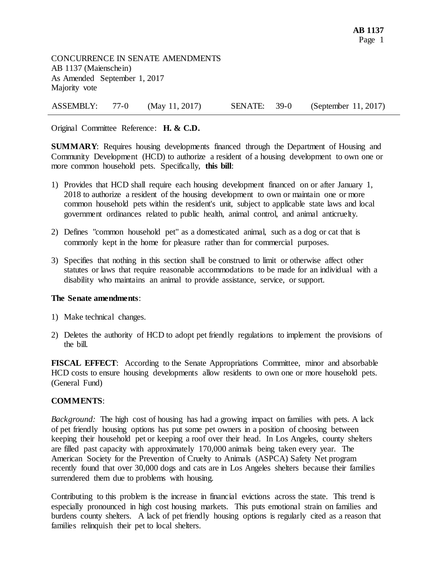CONCURRENCE IN SENATE AMENDMENTS AB 1137 (Maienschein) As Amended September 1, 2017 Majority vote

ASSEMBLY: 77-0 (May 11, 2017) SENATE: 39-0 (September 11, 2017)

Original Committee Reference: **H. & C.D.**

**SUMMARY**: Requires housing developments financed through the Department of Housing and Community Development (HCD) to authorize a resident of a housing development to own one or more common household pets. Specifically, **this bill**:

- 1) Provides that HCD shall require each housing development financed on or after January 1, 2018 to authorize a resident of the housing development to own or maintain one or more common household pets within the resident's unit, subject to applicable state laws and local government ordinances related to public health, animal control, and animal anticruelty.
- 2) Defines "common household pet" as a domesticated animal, such as a dog or cat that is commonly kept in the home for pleasure rather than for commercial purposes.
- 3) Specifies that nothing in this section shall be construed to limit or otherwise affect other statutes or laws that require reasonable accommodations to be made for an individual with a disability who maintains an animal to provide assistance, service, or support.

## **The Senate amendments**:

- 1) Make technical changes.
- 2) Deletes the authority of HCD to adopt pet friendly regulations to implement the provisions of the bill.

**FISCAL EFFECT**: According to the Senate Appropriations Committee, minor and absorbable HCD costs to ensure housing developments allow residents to own one or more household pets. (General Fund)

## **COMMENTS**:

*Background:* The high cost of housing has had a growing impact on families with pets. A lack of pet friendly housing options has put some pet owners in a position of choosing between keeping their household pet or keeping a roof over their head. In Los Angeles, county shelters are filled past capacity with approximately 170,000 animals being taken every year. The American Society for the Prevention of Cruelty to Animals (ASPCA) Safety Net program recently found that over 30,000 dogs and cats are in Los Angeles shelters because their families surrendered them due to problems with housing.

Contributing to this problem is the increase in financial evictions across the state. This trend is especially pronounced in high cost housing markets. This puts emotional strain on families and burdens county shelters. A lack of pet friendly housing options is regularly cited as a reason that families relinquish their pet to local shelters.